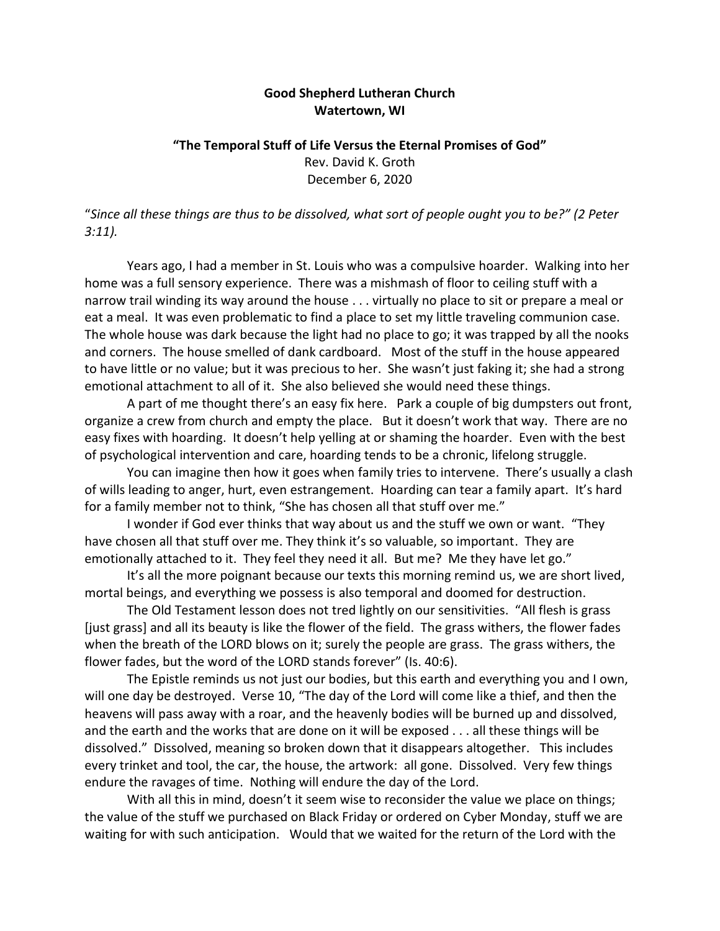## **Good Shepherd Lutheran Church Watertown, WI**

## **"The Temporal Stuff of Life Versus the Eternal Promises of God"** Rev. David K. Groth December 6, 2020

"*Since all these things are thus to be dissolved, what sort of people ought you to be?" (2 Peter 3:11).* 

Years ago, I had a member in St. Louis who was a compulsive hoarder. Walking into her home was a full sensory experience. There was a mishmash of floor to ceiling stuff with a narrow trail winding its way around the house . . . virtually no place to sit or prepare a meal or eat a meal. It was even problematic to find a place to set my little traveling communion case. The whole house was dark because the light had no place to go; it was trapped by all the nooks and corners. The house smelled of dank cardboard. Most of the stuff in the house appeared to have little or no value; but it was precious to her. She wasn't just faking it; she had a strong emotional attachment to all of it. She also believed she would need these things.

A part of me thought there's an easy fix here. Park a couple of big dumpsters out front, organize a crew from church and empty the place. But it doesn't work that way. There are no easy fixes with hoarding. It doesn't help yelling at or shaming the hoarder. Even with the best of psychological intervention and care, hoarding tends to be a chronic, lifelong struggle.

You can imagine then how it goes when family tries to intervene. There's usually a clash of wills leading to anger, hurt, even estrangement. Hoarding can tear a family apart. It's hard for a family member not to think, "She has chosen all that stuff over me."

I wonder if God ever thinks that way about us and the stuff we own or want. "They have chosen all that stuff over me. They think it's so valuable, so important. They are emotionally attached to it. They feel they need it all. But me? Me they have let go."

It's all the more poignant because our texts this morning remind us, we are short lived, mortal beings, and everything we possess is also temporal and doomed for destruction.

The Old Testament lesson does not tred lightly on our sensitivities. "All flesh is grass [just grass] and all its beauty is like the flower of the field. The grass withers, the flower fades when the breath of the LORD blows on it; surely the people are grass. The grass withers, the flower fades, but the word of the LORD stands forever" (Is. 40:6).

The Epistle reminds us not just our bodies, but this earth and everything you and I own, will one day be destroyed. Verse 10, "The day of the Lord will come like a thief, and then the heavens will pass away with a roar, and the heavenly bodies will be burned up and dissolved, and the earth and the works that are done on it will be exposed . . . all these things will be dissolved." Dissolved, meaning so broken down that it disappears altogether. This includes every trinket and tool, the car, the house, the artwork: all gone. Dissolved. Very few things endure the ravages of time. Nothing will endure the day of the Lord.

With all this in mind, doesn't it seem wise to reconsider the value we place on things; the value of the stuff we purchased on Black Friday or ordered on Cyber Monday, stuff we are waiting for with such anticipation. Would that we waited for the return of the Lord with the